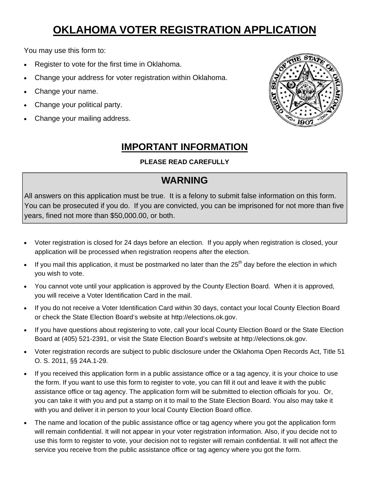# **OKLAHOMA VOTER REGISTRATION APPLICATION**

You may use this form to:

- Register to vote for the first time in Oklahoma.
- Change your address for voter registration within Oklahoma.
- Change your name.
- Change your political party.
- Change your mailing address.



### **IMPORTANT INFORMATION**

#### **PLEASE READ CAREFULLY**

### **WARNING**

All answers on this application must be true. It is a felony to submit false information on this form. You can be prosecuted if you do. If you are convicted, you can be imprisoned for not more than five years, fined not more than \$50,000.00, or both.

- Voter registration is closed for 24 days before an election. If you apply when registration is closed, your application will be processed when registration reopens after the election.
- If you mail this application, it must be postmarked no later than the  $25<sup>th</sup>$  day before the election in which you wish to vote.
- You cannot vote until your application is approved by the County Election Board. When it is approved, you will receive a Voter Identification Card in the mail.
- If you do not receive a Voter Identification Card within 30 days, contact your local County Election Board or check the State Election Board's website at http://elections.ok.gov.
- If you have questions about registering to vote, call your local County Election Board or the State Election Board at (405) 521-2391, or visit the State Election Board's website at http://elections.ok.gov.
- Voter registration records are subject to public disclosure under the Oklahoma Open Records Act, Title 51 O. S. 2011, §§ 24A.1-29.
- If you received this application form in a public assistance office or a tag agency, it is your choice to use the form. If you want to use this form to register to vote, you can fill it out and leave it with the public assistance office or tag agency. The application form will be submitted to election officials for you. Or, you can take it with you and put a stamp on it to mail to the State Election Board. You also may take it with you and deliver it in person to your local County Election Board office.
- The name and location of the public assistance office or tag agency where you got the application form will remain confidential. It will not appear in your voter registration information. Also, if you decide not to use this form to register to vote, your decision not to register will remain confidential. It will not affect the service you receive from the public assistance office or tag agency where you got the form.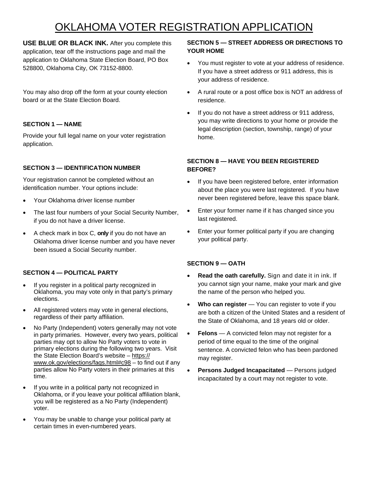## OKLAHOMA VOTER REGISTRATION APPLICATION

**USE BLUE OR BLACK INK.** After you complete this application, tear off the instructions page and mail the application to Oklahoma State Election Board, PO Box 528800, Oklahoma City, OK 73152-8800.

You may also drop off the form at your county election board or at the State Election Board.

#### **SECTION 1 — NAME**

Provide your full legal name on your voter registration application.

#### **SECTION 3 — IDENTIFICATION NUMBER**

Your registration cannot be completed without an identification number. Your options include:

- Your Oklahoma driver license number
- The last four numbers of your Social Security Number, if you do not have a driver license.
- A check mark in box C, **only** if you do not have an Oklahoma driver license number and you have never been issued a Social Security number.

#### **SECTION 4 — POLITICAL PARTY**

- If you register in a political party recognized in Oklahoma, you may vote only in that party's primary elections.
- All registered voters may vote in general elections, regardless of their party affiliation.
- No Party (Independent) voters generally may not vote in party primaries. However, every two years, political parties may opt to allow No Party voters to vote in primary elections during the following two years. Visit the State Election Board's website - https:// www.ok.gov/elections/faqs.html#c98 – to find out if any parties allow No Party voters in their primaries at this time.
- If you write in a political party not recognized in Oklahoma, or if you leave your political affiliation blank, you will be registered as a No Party (Independent) voter.
- You may be unable to change your political party at certain times in even-numbered years.

#### **SECTION 5 — STREET ADDRESS OR DIRECTIONS TO YOUR HOME**

- You must register to vote at your address of residence. If you have a street address or 911 address, this is your address of residence.
- A rural route or a post office box is NOT an address of residence.
- If you do not have a street address or 911 address, you may write directions to your home or provide the legal description (section, township, range) of your home.

#### **SECTION 8 — HAVE YOU BEEN REGISTERED BEFORE?**

- If you have been registered before, enter information about the place you were last registered. If you have never been registered before, leave this space blank.
- Enter your former name if it has changed since you last registered.
- Enter your former political party if you are changing your political party.

#### **SECTION 9 — OATH**

- Read the oath carefully. Sign and date it in ink. If you cannot sign your name, make your mark and give the name of the person who helped you.
- **Who can register** You can register to vote if you are both a citizen of the United States and a resident of the State of Oklahoma, and 18 years old or older.
- **Felons**  A convicted felon may not register for a period of time equal to the time of the original sentence. A convicted felon who has been pardoned may register.
- **Persons Judged Incapacitated Persons judged** incapacitated by a court may not register to vote.